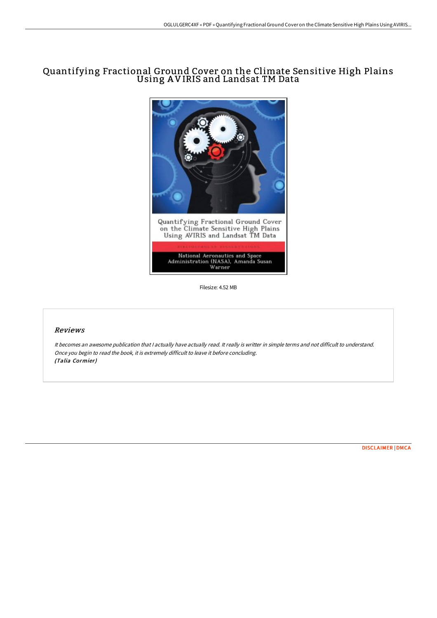# Quantifying Fractional Ground Cover on the Climate Sensitive High Plains Using A VIRIS and Landsat TM Data



Filesize: 4.52 MB

### Reviews

It becomes an awesome publication that I actually have actually read. It really is writter in simple terms and not difficult to understand. Once you begin to read the book, it is extremely difficult to leave it before concluding. (Talia Cormier)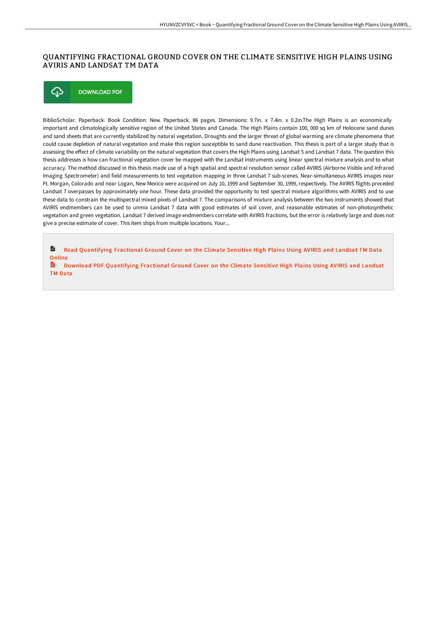## QUANTIFYING FRACTIONAL GROUND COVER ON THE CLIMATE SENSITIVE HIGH PLAINS USING AVIRIS AND LANDSAT TM DATA

⊕ **DOWNLOAD PDF** 

BiblioScholar. Paperback. Book Condition: New. Paperback. 86 pages. Dimensions: 9.7in. x 7.4in. x 0.2in.The High Plains is an economically important and climatologically sensitive region of the United States and Canada. The High Plains contain 100, 000 sq km of Holocene sand dunes and sand sheets that are currently stabilized by natural vegetation. Droughts and the larger threat of global warming are climate phenomena that could cause depletion of natural vegetation and make this region susceptible to sand dune reactivation. This thesis is part of a larger study that is assessing the effect of climate variability on the natural vegetation that covers the High Plains using Landsat 5 and Landsat 7 data. The question this thesis addresses is how can fractional vegetation cover be mapped with the Landsat instruments using linear spectral mixture analysis and to what accuracy. The method discussed in this thesis made use of a high spatial and spectral resolution sensor called AVIRIS (Airborne Visible and Infrared Imaging Spectrometer) and field measurements to test vegetation mapping in three Landsat 7 sub-scenes. Near-simultaneous AVIRIS images near Ft. Morgan, Colorado and near Logan, New Mexico were acquired on July 10, 1999 and September 30, 1999, respectively. The AVIRIS flights preceded Landsat 7 overpasses by approximately one hour. These data provided the opportunity to test spectral mixture algorithms with AVIRIS and to use these data to constrain the multispectral mixed pixels of Landsat 7. The comparisons of mixture analysis between the two instruments showed that AVIRIS endmembers can be used to unmix Landsat 7 data with good estimates of soil cover, and reasonable estimates of non-photosynthetic vegetation and green vegetation. Landsat 7 derived image endmembers correlate with AVIRIS fractions, but the error is relatively large and does not give a precise estimate of cover. This item ships from multiple locations. Your...

 $\frac{1}{10}$ Read [Quantifying](http://techno-pub.tech/quantifying-fractional-ground-cover-on-the-clima.html) Fractional Ground Cover on the Climate Sensitive High Plains Using AVIRIS and Landsat TM Data **Online** 

D. Download PDF [Quantifying](http://techno-pub.tech/quantifying-fractional-ground-cover-on-the-clima.html) Fractional Ground Cover on the Climate Sensitive High Plains Using AVIRIS and Landsat TM Data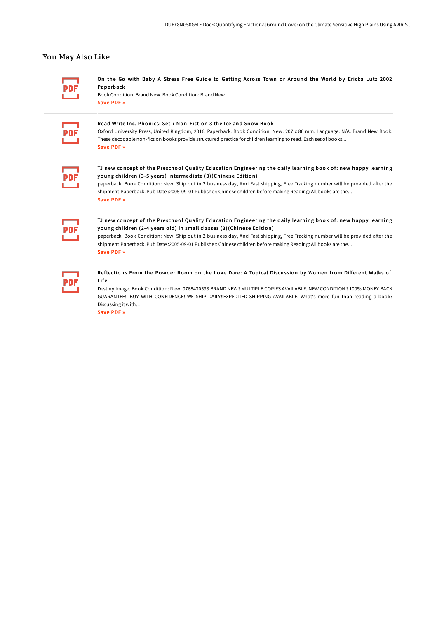### You May Also Like

On the Go with Baby A Stress Free Guide to Getting Across Town or Around the World by Ericka Lutz 2002 Paperback

Book Condition: Brand New. Book Condition: Brand New. [Save](http://techno-pub.tech/on-the-go-with-baby-a-stress-free-guide-to-getti.html) PDF »

#### Read Write Inc. Phonics: Set 7 Non-Fiction 3 the Ice and Snow Book

Oxford University Press, United Kingdom, 2016. Paperback. Book Condition: New. 207 x 86 mm. Language: N/A. Brand New Book. These decodable non-fiction books provide structured practice for children learning to read. Each set of books... [Save](http://techno-pub.tech/read-write-inc-phonics-set-7-non-fiction-3-the-i.html) PDF »

TJ new concept of the Preschool Quality Education Engineering the daily learning book of: new happy learning young children (3-5 years) Intermediate (3)(Chinese Edition)

paperback. Book Condition: New. Ship out in 2 business day, And Fast shipping, Free Tracking number will be provided after the shipment.Paperback. Pub Date :2005-09-01 Publisher: Chinese children before making Reading: All books are the... [Save](http://techno-pub.tech/tj-new-concept-of-the-preschool-quality-educatio-1.html) PDF »

TJ new concept of the Preschool Quality Education Engineering the daily learning book of: new happy learning young children (2-4 years old) in small classes (3)(Chinese Edition)

paperback. Book Condition: New. Ship out in 2 business day, And Fast shipping, Free Tracking number will be provided after the shipment.Paperback. Pub Date :2005-09-01 Publisher: Chinese children before making Reading: All books are the... [Save](http://techno-pub.tech/tj-new-concept-of-the-preschool-quality-educatio-2.html) PDF »

Reflections From the Powder Room on the Love Dare: A Topical Discussion by Women from Different Walks of Lif e

Destiny Image. Book Condition: New. 0768430593 BRAND NEW!! MULTIPLE COPIES AVAILABLE. NEW CONDITION!! 100% MONEY BACK GUARANTEE!! BUY WITH CONFIDENCE! WE SHIP DAILY!!EXPEDITED SHIPPING AVAILABLE. What's more fun than reading a book? Discussing it with...

[Save](http://techno-pub.tech/reflections-from-the-powder-room-on-the-love-dar.html) PDF »